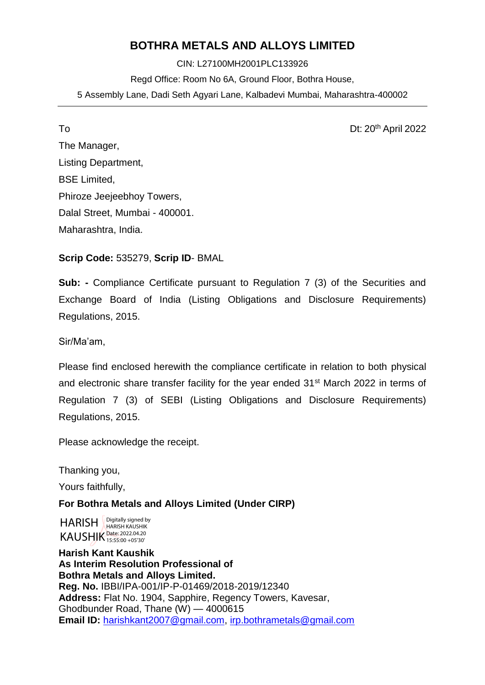# **BOTHRA METALS AND ALLOYS LIMITED**

CIN: L27100MH2001PLC133926 Regd Office: Room No 6A, Ground Floor, Bothra House, 5 Assembly Lane, Dadi Seth Agyari Lane, Kalbadevi Mumbai, Maharashtra-400002

To Dt: 20th April 2022

The Manager, Listing Department, BSE Limited, Phiroze Jeejeebhoy Towers, Dalal Street, Mumbai - 400001. Maharashtra, India.

**Scrip Code:** 535279, **Scrip ID**- BMAL

**Sub: -** Compliance Certificate pursuant to Regulation 7 (3) of the Securities and Exchange Board of India (Listing Obligations and Disclosure Requirements) Regulations, 2015.

Sir/Ma'am,

Please find enclosed herewith the compliance certificate in relation to both physical and electronic share transfer facility for the year ended 31st March 2022 in terms of Regulation 7 (3) of SEBI (Listing Obligations and Disclosure Requirements) Regulations, 2015.

Please acknowledge the receipt.

Thanking you,

Yours faithfully,

**For Bothra Metals and Alloys Limited (Under CIRP)**

HARISH **Pigitally signed by** KAUSHIK Date: 2022.04.20 HARISH KAUSHIK 15:55:00 +05'30'

**Harish Kant Kaushik As Interim Resolution Professional of Bothra Metals and Alloys Limited. Reg. No.** IBBI/IPA-001/IP-P-01469/2018-2019/12340 **Address:** Flat No. 1904, Sapphire, Regency Towers, Kavesar, Ghodbunder Road, Thane (W) — 4000615 **Email ID:** [harishkant2007@gmail.com,](mailto:harishkant2007@gmail.com) [irp.bothrametals@gmail.com](mailto:irp.bothrametals@gmail.com)